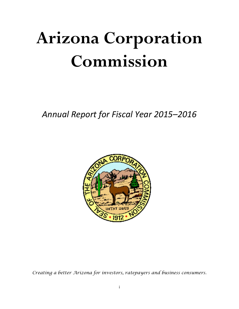# **Arizona Corporation Commission**

*Annual Report for Fiscal Year 2015–2016*



*Creating a better Arizona for investors, ratepayers and business consumers.*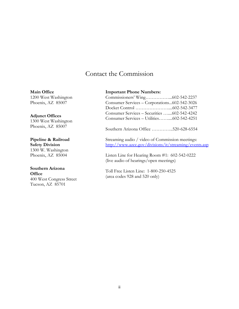## Contact the Commission

**Main Office** 1200 West Washington Phoenix, AZ 85007

**Adjunct Offices** 1300 West Washington Phoenix, AZ 85007

**Pipeline & Railroad Safety Division** 1300 W. Washington Phoenix, AZ 85004

#### **Southern Arizona Office**

400 West Congress Street Tucson, AZ 85701

#### **Important Phone Numbers:**

| Consumer Services – Corporations602-542-3026 |  |
|----------------------------------------------|--|
|                                              |  |
| Consumer Services - Securities 602-542-4242  |  |
| Consumer Services – Utilities602-542-4251    |  |
|                                              |  |

Southern Arizona Office …………..520-628-6554

Streaming audio / video of Commission meetings: <http://www.azcc.gov/divisions/it/streaming/events.asp>

Listen Line for Hearing Room #1: 602-542-0222 (live audio of hearings/open meetings)

Toll Free Listen Line: 1-800-250-4525 (area codes 928 and 520 only)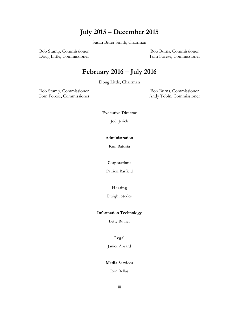# **July 2015 – December 2015**

Susan Bitter Smith, Chairman

Bob Stump, Commissioner Bob Burns, Commissioner Doug Little, Commissioner Tom Forese, Commissioner

# **February 2016 – July 2016**

Doug Little, Chairman

Bob Stump, Commissioner Bob Burns, Commissioner Tom Forese, Commissioner Andy Tobin, Commissioner

**Executive Director**

Jodi Jerich

#### **Administration**

Kim Battista

#### **Corporations**

Patricia Barfield

#### **Hearing**

Dwight Nodes

#### **Information Technology**

Letty Butner

#### **Legal**

Janice Alward

#### **Media Services**

Ron Bellus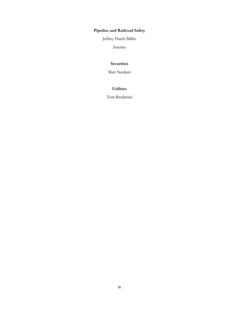## **Pipeline and Railroad Safety**

Jeffrey Hatch-Miller

Interim

#### **Securities**

Matt Neubert

#### **Utilities**

Tom Broderick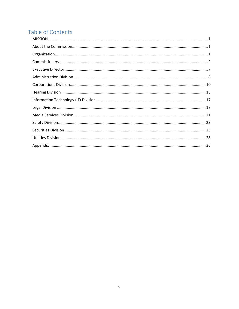# Table of Contents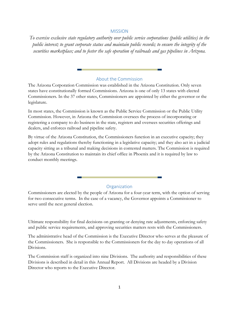#### MISSION

<span id="page-5-0"></span>*To exercise exclusive state regulatory authority over public service corporations (public utilities) in the public interest; to grant corporate status and maintain public records; to ensure the integrity of the securities marketplace; and to foster the safe operation of railroads and gas pipelines in Arizona.*

#### About the Commission

<span id="page-5-1"></span>The Arizona Corporation Commission was established in the Arizona Constitution. Only seven states have constitutionally formed Commissions. Arizona is one of only 13 states with elected Commissioners. In the 37 other states, Commissioners are appointed by either the governor or the legislature.

In most states, the Commission is known as the Public Service Commission or the Public Utility Commission. However, in Arizona the Commission oversees the process of incorporating or registering a company to do business in the state, registers and oversees securities offerings and dealers, and enforces railroad and pipeline safety.

By virtue of the Arizona Constitution, the Commissioners function in an executive capacity; they adopt rules and regulations thereby functioning in a legislative capacity; and they also act in a judicial capacity sitting as a tribunal and making decisions in contested matters. The Commission is required by the Arizona Constitution to maintain its chief office in Phoenix and it is required by law to conduct monthly meetings.

#### **Organization**

<span id="page-5-2"></span>Commissioners are elected by the people of Arizona for a four-year term, with the option of serving for two consecutive terms. In the case of a vacancy, the Governor appoints a Commissioner to serve until the next general election.

Ultimate responsibility for final decisions on granting or denying rate adjustments, enforcing safety and public service requirements, and approving securities matters rests with the Commissioners.

The administrative head of the Commission is the Executive Director who serves at the pleasure of the Commissioners. She is responsible to the Commissioners for the day to day operations of all Divisions.

The Commission staff is organized into nine Divisions. The authority and responsibilities of these Divisions is described in detail in this Annual Report. All Divisions are headed by a Division Director who reports to the Executive Director.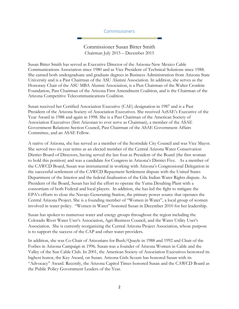#### Commissioners

Commissioner Susan Bitter Smith Chairman July 2015 – December 2015

<span id="page-6-0"></span>Susan Bitter Smith has served as Executive Director of the Arizona-New Mexico Cable Communications Association since 1980 and as Vice President of Technical Solutions since 1988. She earned both undergraduate and graduate degrees in Business Administration from Arizona State University and is a Past Chairman of the ASU Alumni Association. In addition, she serves as the Honorary Chair of the ASU MBA Alumni Association, is a Past Chairman of the Walter Cronkite Foundation, Past Chairman of the Arizona First Amendment Coalition, and is the Chairman of the Arizona Competitive Telecommunications Coalition.

Susan received her Certified Association Executive (CAE) designation in 1987 and is a Past President of the Arizona Society of Association Executives. She received AzSAE's Executive of the Year Award in 1988 and again in 1998. She is a Past Chairman of the American Society of Association Executives (first Arizonan to ever serve as Chairman), a member of the ASAE Government Relations Section Council, Past Chairman of the ASAE Government Affairs Committee, and an ASAE Fellow.

A native of Arizona, she has served as a member of the Scottsdale City Council and was Vice Mayor. She served two six year terms as an elected member of the Central Arizona Water Conservation District Board of Directors, having served the last four as President of the Board (the first woman to hold this position) and was a candidate for Congress in Arizona's District Five. As a member of the CAWCD Board, Susan was instrumental in working with Arizona's Congressional Delegation in the successful settlement of the CAWCD Repayment Settlement dispute with the United States Department of the Interior and the federal finalization of the Gila Indian Water Rights dispute. As President of the Board, Susan has led the effort to operate the Yuma Desalting Plant with a consortium of both Federal and local players. In addition, she has led the fight to mitigate the EPA's efforts to close the Navajo Generating Station, the primary power source that operates the Central Arizona Project. She is a founding member of "Women in Water", a local group of women involved in water policy. "Women in Water" honored Susan in December 2010 for her leadership.

Susan has spoken to numerous water and energy groups throughout the region including the Colorado River Water User's Association, Agri-Business Council, and the Water Utility User's Association. She is currently reorganizing the Central Arizona Project Association, whose purpose is to support the success of the CAP and other water providers.

In addition, she was Co-Chair of Arizonians for Bush/Quayle in 1988 and 1992 and Chair of the Forbes in Arizona Campaign in 1996. Susan was a founder of Arizona Women in Cable and the Valley of the Sun Cable Club. In 2001, the American Society of Association Executives bestowed its highest honor, the Key Award, on Susan. Arizona Girls Scouts has honored Susan with its "Advocacy" Award. Recently, the Arizona Capitol Times honored Susan and the CAWCD Board as the Public Policy Government Leaders of the Year.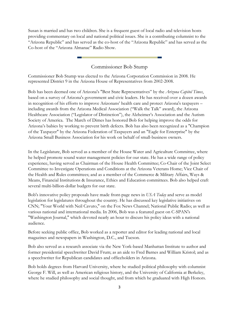Susan is married and has two children. She is a frequent guest of local radio and television hosts providing commentary on local and national political issues. She is a contributing columnist to the "Arizona Republic" and has served as the co-host of the "Arizona Republic" and has served as the Co-host of the "Arizona Almanac" Radio Show.

## Commissioner Bob Stump

Commissioner Bob Stump was elected to the Arizona Corporation Commission in 2008. He represented District 9 in the Arizona House of Representatives from 2002-2008.

Bob has been deemed one of Arizona's "Best State Representatives" by the *Arizona Capitol Times*, based on a survey of Arizona's government and civic leaders. He has received over a dozen awards in recognition of his efforts to improve Arizonans' health care and protect Arizona's taxpayers – including awards from the Arizona Medical Association ("Walk the Talk" award), the Arizona Healthcare Association ("Legislator of Distinction"), the Alzheimer's Association and the Autism Society of America. The March of Dimes has honored Bob for helping improve the odds for Arizona's babies by working to prevent birth defects. Bob has also been recognized as a "Champion of the Taxpayer" by the Arizona Federation of Taxpayers and an "Eagle for Enterprise" by the Arizona Small Business Association for his work on behalf of small-business owners.

In the Legislature, Bob served as a member of the House Water and Agriculture Committee, where he helped promote sound water management policies for our state. He has a wide range of policy experience, having served as Chairman of the House Health Committee; Co-Chair of the Joint Select Committee to Investigate Operations and Conditions at the Arizona Veterans Home; Vice Chair of the Health and Rules committees; and as a member of the Commerce & Military Affairs, Ways & Means, Financial Institutions & Insurance, Ethics and Education committees. Bob also helped craft several multi-billion-dollar budgets for our state.

Bob's innovative policy proposals have made front-page news in *USA Today* and serve as model legislation for legislatures throughout the country. He has discussed key legislative initiatives on CNN; "Your World with Neil Cavuto," on the Fox News Channel; National Public Radio; as well as various national and international media. In 2006, Bob was a featured guest on C-SPAN's "Washington Journal," which devoted nearly an hour to discuss his policy ideas with a national audience.

Before seeking public office, Bob worked as a reporter and editor for leading national and local magazines and newspapers in Washington, D.C., and Tucson.

Bob also served as a research associate via the New York-based Manhattan Institute to author and former presidential speechwriter David Frum; as an aide to Fred Barnes and William Kristol; and as a speechwriter for Republican candidates and officeholders in Arizona.

Bob holds degrees from Harvard University, where he studied political philosophy with columnist George F. Will, as well as American religious history, and the University of California at Berkeley, where he studied philosophy and social thought, and from which he graduated with High Honors.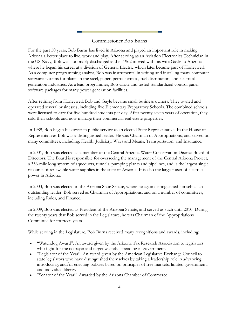## Commissioner Bob Burns

For the past 50 years, Bob Burns has lived in Arizona and played an important role in making Arizona a better place to live, work and play. After serving as an Aviation Electronics Technician in the US Navy, Bob was honorably discharged and in 1962 moved with his wife Gayle to Arizona where he began his career at a division of General Electric which later became part of Honeywell. As a computer programming analyst, Bob was instrumental in writing and installing many computer software systems for plants in the steel, paper, petrochemical, fuel distribution, and electrical generation industries. As a lead programmer, Bob wrote and tested standardized control panel software packages for many power generation facilities.

After retiring from Honeywell, Bob and Gayle became small business owners. They owned and operated several businesses, including five Elementary Preparatory Schools. The combined schools were licensed to care for five hundred students per day. After twenty seven years of operation, they sold their schools and now manage their commercial real estate properties.

In 1989, Bob began his career in public service as an elected State Representative. In the House of Representatives Bob was a distinguished leader. He was Chairman of Appropriations, and served on many committees, including: Health, Judiciary, Ways and Means, Transportation, and Insurance.

In 2001, Bob was elected as a member of the Central Arizona Water Conservation District Board of Directors. The Board is responsible for overseeing the management of the Central Arizona Project, a 336-mile long system of aqueducts, tunnels, pumping plants and pipelines, and is the largest single resource of renewable water supplies in the state of Arizona. It is also the largest user of electrical power in Arizona.

In 2003, Bob was elected to the Arizona State Senate, where he again distinguished himself as an outstanding leader. Bob served as Chairman of Appropriations, and on a number of committees, including Rules, and Finance.

In 2009, Bob was elected as President of the Arizona Senate, and served as such until 2010. During the twenty years that Bob served in the Legislature, he was Chairman of the Appropriations Committee for fourteen years.

While serving in the Legislature, Bob Burns received many recognitions and awards, including:

- "Watchdog Award". An award given by the Arizona Tax Research Association to legislators who fight for the taxpayer and target wasteful spending in government.
- "Legislator of the Year". An award given by the American Legislative Exchange Council to state legislators who have distinguished themselves by taking a leadership role in advancing, introducing, and/or enacting policies based on principles of free markets, limited government, and individual liberty.
- "Senator of the Year". Awarded by the Arizona Chamber of Commerce.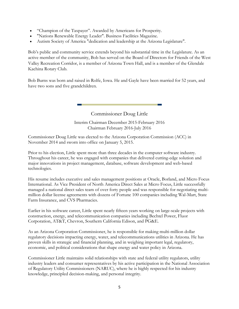- "Champion of the Taxpayer". Awarded by Americans for Prosperity.
- "Nations Renewable Energy Leader". Business Facilities Magazine.
- Autism Society of America "dedication and leadership at the Arizona Legislature".

Bob's public and community service extends beyond his substantial time in the Legislature. As an active member of the community, Bob has served on the Board of Directors for Friends of the West Valley Recreation Corridor, is a member of Arizona Town Hall, and is a member of the Glendale Kachina Rotary Club.

Bob Burns was born and raised in Rolfe, Iowa. He and Gayle have been married for 52 years, and have two sons and five grandchildren.

> Commissioner Doug Little Interim Chairman December 2015-February 2016 Chairman February 2016-July 2016

Commissioner Doug Little was elected to the Arizona Corporation Commission (ACC) in November 2014 and sworn into office on January 5, 2015.

Prior to his election, Little spent more than three decades in the computer software industry. Throughout his career, he was engaged with companies that delivered cutting-edge solution and major innovations in project management, database, software development and web-based technologies.

His resume includes executive and sales management positions at Oracle, Borland, and Micro Focus International. As Vice President of North America Direct Sales at Micro Focus, Little successfully managed a national direct sales team of over forty people and was responsible for negotiating multimillion dollar license agreements with dozens of Fortune 100 companies including Wal-Mart, State Farm Insurance, and CVS Pharmacies.

Earlier in his software career, Little spent nearly fifteen years working on large-scale projects with construction, energy, and telecommunication companies including Bechtel Power, Fluor Corporation, AT&T, Chevron, Southern California Edison, and PG&E.

As an Arizona Corporation Commissioner, he is responsible for making multi-million dollar regulatory decisions impacting energy, water, and telecommunications utilities in Arizona. He has proven skills in strategic and financial planning, and in weighing important legal, regulatory, economic, and political considerations that shape energy and water policy in Arizona.

Commissioner Little maintains solid relationships with state and federal utility regulators, utility industry leaders and consumer representatives by his active participation in the National Association of Regulatory Utility Commissioners (NARUC), where he is highly respected for his industry knowledge, principled decision-making, and personal integrity.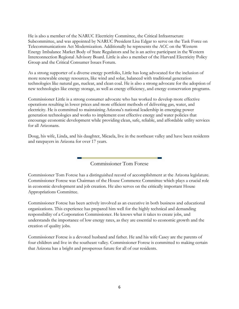He is also a member of the NARUC Electricity Committee, the Critical Infrastructure Subcommittee, and was appointed by NARUC President Lisa Edgar to serve on the Task Force on Telecommunications Act Modernization. Additionally he represents the ACC on the Western Energy Imbalance Market Body of State Regulators and he is an active participant in the Western Interconnection Regional Advisory Board. Little is also a member of the Harvard Electricity Policy Group and the Critical Consumer Issues Forum.

As a strong supporter of a diverse energy portfolio, Little has long advocated for the inclusion of more renewable energy resources, like wind and solar, balanced with traditional generation technologies like natural gas, nuclear, and clean coal. He is also a strong advocate for the adoption of new technologies like energy storage, as well as energy efficiency, and energy conservation programs.

Commissioner Little is a strong consumer advocate who has worked to develop more effective operations resulting in lower prices and more efficient methods of delivering gas, water, and electricity. He is committed to maintaining Arizona's national leadership in emerging power generation technologies and works to implement cost effective energy and water policies that encourage economic development while providing clean, safe, reliable, and affordable utility services for all Arizonans.

Doug, his wife, Linda, and his daughter, Micaela, live in the northeast valley and have been residents and ratepayers in Arizona for over 17 years.

Commissioner Tom Forese

Commissioner Tom Forese has a distinguished record of accomplishment at the Arizona legislature. Commissioner Forese was Chairman of the House Commerce Committee which plays a crucial role in economic development and job creation. He also serves on the critically important House Appropriations Committee.

Commissioner Forese has been actively involved as an executive in both business and educational organizations. This experience has prepared him well for the highly technical and demanding responsibility of a Corporation Commissioner. He knows what it takes to create jobs, and understands the importance of low energy rates, as they are essential to economic growth and the creation of quality jobs.

Commissioner Forese is a devoted husband and father. He and his wife Casey are the parents of four children and live in the southeast valley. Commissioner Forese is committed to making certain that Arizona has a bright and prosperous future for all of our residents.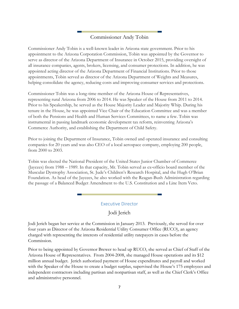## Commissioner Andy Tobin

Commissioner Andy Tobin is a well-known leader in Arizona state government. Prior to his appointment to the Arizona Corporation Commission, Tobin was appointed by the Governor to serve as director of the Arizona Department of Insurance in October 2015, providing oversight of all insurance companies, agents, brokers, licensing, and consumer protections. In addition, he was appointed acting director of the Arizona Department of Financial Institutions. Prior to those appointments, Tobin served as director of the Arizona Department of Weights and Measures, helping consolidate the agency, reducing costs and improving consumer services and protections.

Commissioner Tobin was a long-time member of the Arizona House of Representatives, representing rural Arizona from 2006 to 2014. He was Speaker of the House from 2011 to 2014. Prior to his Speakership, he served as the House Majority Leader and Majority Whip. During his tenure in the House, he was appointed Vice Chair of the Education Committee and was a member of both the Pensions and Health and Human Services Committees, to name a few. Tobin was instrumental in passing landmark economic development tax reform, reinventing Arizona's Commerce Authority, and establishing the Department of Child Safety.

Prior to joining the Department of Insurance, Tobin owned and operated insurance and consulting companies for 20 years and was also CEO of a local aerospace company, employing 200 people, from 2000 to 2003.

Tobin was elected the National President of the United States Junior Chamber of Commerce (Jaycees) from 1988 – 1989. In that capacity, Mr. Tobin served as ex‐officio board member of the Muscular Dystrophy Association, St. Jude's Children's Research Hospital, and the Hugh O'Brian Foundation. As head of the Jaycees, he also worked with the Reagan-Bush Administration regarding the passage of a Balanced Budget Amendment to the U.S. Constitution and a Line Item Veto.

## Executive Director

Jodi Jerich

<span id="page-11-0"></span>Jodi Jerich began her service at the Commission in January 2013. Previously, she served for over four years as Director of the Arizona Residential Utility Consumer Office (RUCO), an agency charged with representing the interests of residential utility ratepayers in cases before the Commission.

Prior to being appointed by Governor Brewer to head up RUCO, she served as Chief of Staff of the Arizona House of Representatives. From 2004-2008, she managed House operations and its \$12 million annual budget. Jerich authorized payment of House expenditures and payroll and worked with the Speaker of the House to create a budget surplus, supervised the House's 175 employees and independent contractors including partisan and nonpartisan staff, as well as the Chief Clerk's Office and administrative personnel.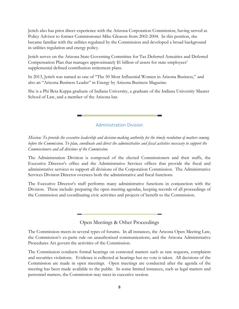Jerich also has prior direct experience with the Arizona Corporation Commission, having served as Policy Advisor to former Commissioner Mike Gleason from 2002-2004. In this position, she became familiar with the utilities regulated by the Commission and developed a broad background in utilities regulation and energy policy.

Jerich serves on the Arizona State Governing Committee for Tax Deferred Annuities and Deferred Compensation Plan that manages approximately \$1 billion of assets for state employees' supplemental defined contribution retirement plans.

In 2013, Jerich was named as one of "The 50 Most Influential Women in Arizona Business," and also an "Arizona Business Leader" in Energy by Arizona Business Magazine.

She is a Phi Beta Kappa graduate of Indiana University, a graduate of the Indiana University Maurer School of Law, and a member of the Arizona bar.

Administration Division

<span id="page-12-0"></span>*Mission: To provide the executive leadership and decision-making authority for the timely resolution of matters coming before the Commission. To plan, coordinate and direct the administrative and fiscal activities necessary to support the Commissioners and all divisions of the Commission.* 

The Administration Division is composed of the elected Commissioners and their staffs, the Executive Director's office and the Administrative Services offices that provide the fiscal and administrative services to support all divisions of the Corporation Commission. The Administrative Services Division Director oversees both the administrative and fiscal functions.

The Executive Director's staff performs many administrative functions in conjunction with the Division. These include: preparing the open meeting agendas, keeping records of all proceedings of the Commission and coordinating civic activities and projects of benefit to the Commission.

Open Meetings & Other Proceedings

The Commission meets in several types of forums. In all instances, the Arizona Open Meeting Law, the Commission's ex-parte rule on unauthorized communications, and the Arizona Administrative Procedures Act govern the activities of the Commission.

The Commission conducts formal hearings on contested matters such as rate requests, complaints and securities violations. Evidence is collected at hearings but no vote is taken. All decisions of the Commission are made in open meetings. Open meetings are conducted after the agenda of the meeting has been made available to the public. In some limited instances, such as legal matters and personnel matters, the Commission may meet in executive session.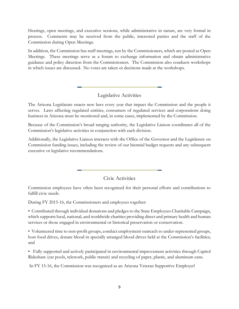Hearings, open meetings, and executive sessions, while administrative in nature, are very formal in process. Comments may be received from the public, interested parties and the staff of the Commission during Open Meetings.

In addition, the Commission has staff meetings, run by the Commissioners, which are posted as Open Meetings. These meetings serve as a forum to exchange information and obtain administrative guidance and policy direction from the Commissioners. The Commission also conducts workshops in which issues are discussed. No votes are taken or decisions made at the workshops.

## Legislative Activities

The Arizona Legislature enacts new laws every year that impact the Commission and the people it serves. Laws affecting regulated entities, consumers of regulated services and corporations doing business in Arizona must be monitored and, in some cases, implemented by the Commission.

Because of the Commission's broad ranging authority, the Legislative Liaison coordinates all of the Commission's legislative activities in conjunction with each division.

Additionally, the Legislative Liaison interacts with the Office of the Governor and the Legislature on Commission funding issues, including the review of our biennial budget requests and any subsequent executive or legislative recommendations.

Civic Activities

Commission employees have often been recognized for their personal efforts and contributions to fulfill civic needs.

During FY 2015-16, the Commissioners and employees together:

• Contributed through individual donations and pledges to the State Employees Charitable Campaign, which supports local, national, and worldwide charities providing direct and primary health and human services or those engaged in environmental or historical preservation or conservation.

• Volunteered time to non-profit groups, conduct employment outreach to under-represented groups, host food drives, donate blood in specially arranged blood drives held at the Commission's facilities; and

• Fully supported and actively participated in environmental improvement activities through Capitol Rideshare (car pools, telework, public transit) and recycling of paper, plastic, and aluminum cans.

In FY 15-16, the Commission was recognized as an Arizona Veteran Supportive Employer!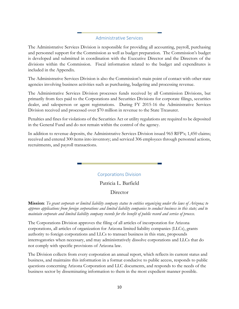#### Administrative Services

The Administrative Services Division is responsible for providing all accounting, payroll, purchasing and personnel support for the Commission as well as budget preparation. The Commission's budget is developed and submitted in coordination with the Executive Director and the Directors of the divisions within the Commission. Fiscal information related to the budget and expenditures is included in the Appendix.

The Administrative Services Division is also the Commission's main point of contact with other state agencies involving business activities such as purchasing, budgeting and processing revenue.

The Administrative Services Division processes funds received by all Commission Divisions, but primarily from fees paid to the Corporations and Securities Divisions for corporate filings, securities dealer, and salesperson or agent registrations. During FY 2015-16 the Administrative Services Division received and processed over \$70 million in revenue to the State Treasurer.

Penalties and fines for violations of the Securities Act or utility regulations are required to be deposited in the General Fund and do not remain within the control of the agency.

In addition to revenue deposits, the Administrative Services Division issued 965 RFP's; 1,450 claims; received and entered 300 items into inventory; and serviced 306 employees through personnel actions, recruitments, and payroll transactions.

## Corporations Division

#### Patricia L. Barfield

#### **Director**

<span id="page-14-0"></span>**Mission**: *To grant corporate or limited liability company status to entities organizing under the laws of Arizona; to approve applications from foreign corporations and limited liability companies to conduct business in this state; and to maintain corporate and limited liability company records for the benefit of public record and service of process.*

The Corporations Division approves the filing of all articles of incorporation for Arizona corporations, all articles of organization for Arizona limited liability companies (LLCs), grants authority to foreign corporations and LLCs to transact business in this state, propounds interrogatories when necessary, and may administratively dissolve corporations and LLCs that do not comply with specific provisions of Arizona law.

The Division collects from every corporation an annual report, which reflects its current status and business, and maintains this information in a format conducive to public access, responds to public questions concerning Arizona Corporation and LLC documents, and responds to the needs of the business sector by disseminating information to them in the most expedient manner possible.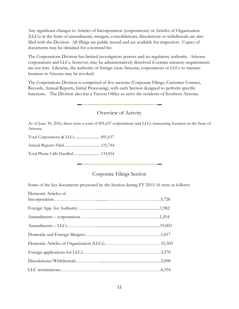Any significant changes to Articles of Incorporation (corporations) or Articles of Organization (LLCs) in the form of amendments, mergers, consolidations, dissolutions or withdrawals are also filed with the Division. All filings are public record and are available for inspection. Copies of documents may be obtained for a nominal fee.

The Corporations Division has limited investigatory powers and no regulatory authority. Arizona corporations and LLCs, however, may be administratively dissolved if certain statutory requirements are not met. Likewise, the authority of foreign (non-Arizona) corporations or LLCs to transact business in Arizona may be revoked.

The Corporations Division is comprised of five sections (Corporate Filings, Customer Contact, Records, Annual Reports, Initial Processing), with each Section designed to perform specific functions. The Division also has a Tucson Office to serve the residents of Southern Arizona.

## Overview of Activity

As of June 30, 2016, there were a total of 891,637 corporations and LLCs transacting business in the State of Arizona.

Total Corporations & LLCs.......................... .891,637

Annual Reports Filed ..................................... .121,744

Total Phone Calls Handled ........................... .133,954

## Corporate Filings Section

Some of the key documents processed by the Section during FY 2015-16 were as follows:

| Domestic Articles of |  |
|----------------------|--|
|                      |  |
|                      |  |
|                      |  |
|                      |  |
|                      |  |
|                      |  |
|                      |  |
|                      |  |
|                      |  |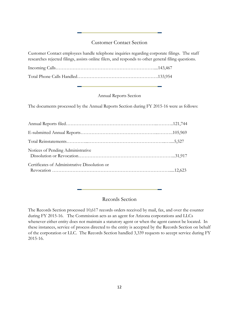## Customer Contact Section

Customer Contact employees handle telephone inquiries regarding corporate filings. The staff researches rejected filings, assists online filers, and responds to other general filing questions.

Incoming Calls………………………………………………………....143,467 Total Phone Calls Handled…………………………………………….133,954

#### Annual Reports Section

The documents processed by the Annual Reports Section during FY 2015-16 were as follows:

| Notices of Pending Administrative             |  |
|-----------------------------------------------|--|
| Certificates of Administrative Dissolution or |  |

## Records Section

The Records Section processed 10,617 records orders received by mail, fax, and over the counter during FY 2015-16. The Commission acts as an agent for Arizona corporations and LLCs whenever either entity does not maintain a statutory agent or when the agent cannot be located. In these instances, service of process directed to the entity is accepted by the Records Section on behalf of the corporation or LLC. The Records Section handled 3,339 requests to accept service during FY 2015-16.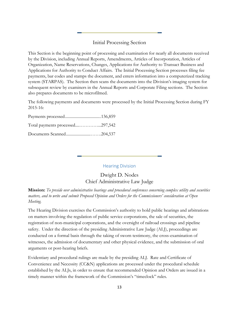## Initial Processing Section

This Section is the beginning point of processing and examination for nearly all documents received by the Division, including Annual Reports, Amendments, Articles of Incorporation, Articles of Organization, Name Reservations, Changes, Applications for Authority to Transact Business and Applications for Authority to Conduct Affairs. The Initial Processing Section processes filing fee payments, bar codes and stamps the document, and enters information into a computerized tracking system (STARPAS). The Section then scans the documents into the Division's imaging system for subsequent review by examiners in the Annual Reports and Corporate Filing sections. The Section also prepares documents to be microfilmed.

The following payments and documents were processed by the Initial Processing Section during FY 2015-16:

| Total payments processed297,542 |  |
|---------------------------------|--|
|                                 |  |

#### Hearing Division

Dwight D. Nodes Chief Administrative Law Judge

<span id="page-17-0"></span>**Mission:** *To preside over administrative hearings and procedural conferences concerning complex utility and securities matters, and to write and submit Proposed Opinion and Orders for the Commissioners' consideration at Open Meeting.*

The Hearing Division exercises the Commission's authority to hold public hearings and arbitrations on matters involving the regulation of public service corporations, the sale of securities, the registration of non-municipal corporations, and the oversight of railroad crossings and pipeline safety. Under the direction of the presiding Administrative Law Judge (ALJ), proceedings are conducted on a formal basis through the taking of sworn testimony, the cross-examination of witnesses, the admission of documentary and other physical evidence, and the submission of oral arguments or post-hearing briefs.

Evidentiary and procedural rulings are made by the presiding ALJ. Rate and Certificate of Convenience and Necessity (CC&N) applications are processed under the procedural schedule established by the ALJs, in order to ensure that recommended Opinion and Orders are issued in a timely manner within the framework of the Commission's "timeclock" rules.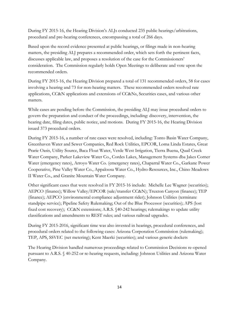During FY 2015-16, the Hearing Division's ALJs conducted 235 public hearings/arbitrations, procedural and pre-hearing conferences, encompassing a total of 266 days.

Based upon the record evidence presented at public hearings, or filings made in non-hearing matters, the presiding ALJ prepares a recommended order, which sets forth the pertinent facts, discusses applicable law, and proposes a resolution of the case for the Commissioners' consideration. The Commission regularly holds Open Meetings to deliberate and vote upon the recommended orders.

During FY 2015-16, the Hearing Division prepared a total of 131 recommended orders, 58 for cases involving a hearing and 73 for non-hearing matters. These recommended orders resolved rate applications, CC&N applications and extensions of CC&Ns, Securities cases, and various other matters.

While cases are pending before the Commission, the presiding ALJ may issue procedural orders to govern the preparation and conduct of the proceedings, including: discovery, intervention, the hearing date, filing dates, public notice, and motions. During FY 2015-16, the Hearing Division issued 373 procedural orders.

During FY 2015-16, a number of rate cases were resolved, including: Tonto Basin Water Company, Greenhaven Water and Sewer Companies, Red Rock Utilities, EPCOR, Loma Linda Estates, Great Prarie Oasis, Utility Source, Baca Float Water, Verde West Irrigation, Tierra Buena, Quail Creek Water Company, Parker Lakeview Water Co., Cordes Lakes, Management Systems dba Jakes Corner Water (emergency rates), Arroyo Water Co. (emergency rates), Chaparral Water Co., Garkane Power Cooperative, Pine Valley Water Co., Appaloosa Water Co., Hydro-Resources, Inc., Chino Meadows II Water Co., and Granite Mountain Water Company.

Other significant cases that were resolved in FY 2015-16 include: Michelle Lee Wagner (securities); AEPCO (finance); Willow Valley/EPCOR (sale/transfer CC&N); Truxton Canyon (finance); TEP (finance); AEPCO (environmental compliance adjustment rider); Johnson Utilities (terminate standpipe service); Pipeline Safety Rulemaking; Out of the Blue Processor (securities); APS (lost fixed cost recovery); CC&N extensions; A.R.S. §40-242 hearings; rulemakings to update utility classifications and amendments to REST rules; and various railroad upgrades.

During FY 2015-2016, significant time was also invested in hearings, procedural conferences, and procedural orders related to the following cases: Arizona Corporation Commission (rulemaking); TEP, APS, SSVEC (net metering); Kent Maerki (securities); and various generic dockets

The Hearing Division handled numerous proceedings related to Commission Decisions re-opened pursuant to A.R.S. § 40-252 or re-hearing requests, including: Johnson Utilities and Arizona Water Company.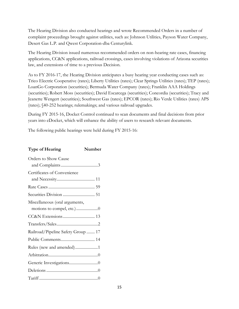The Hearing Division also conducted hearings and wrote Recommended Orders in a number of complaint proceedings brought against utilities, such as: Johnson Utilities, Payson Water Company, Desert Gas L.P. and Qwest Corporation-dba Centurylink.

The Hearing Division issued numerous recommended orders on non-hearing rate cases, financing applications, CC&N applications, railroad crossings, cases involving violations of Arizona securities law, and extensions of time to a previous Decision.

As to FY 2016-17, the Hearing Division anticipates a busy hearing year conducting cases such as: Trico Electric Cooperative (rates); Liberty Utilities (rates); Clear Springs Utilities (rates); TEP (rates); LoanGo Corporation (securities); Bermuda Water Company (rates); Franklin AAA Holdings (securities); Robert Moss (securities); David Escarcega (securities); Concordia (securities); Tracy and Jeanette Wengert (securities); Southwest Gas (rates); EPCOR (rates); Rio Verde Utilities (rates) APS (rates); §40-252 hearings; rulemakings; and various railroad upgrades.

During FY 2015-16, Docket Control continued to scan documents and final decisions from prior years into eDocket, which will enhance the ability of users to research relevant documents.

The following public hearings were held during FY 2015-16:

| <b>Type of Hearing</b>             | Number |
|------------------------------------|--------|
| Orders to Show Cause               |        |
|                                    |        |
| Certificates of Convenience        |        |
|                                    |        |
|                                    |        |
|                                    |        |
| Miscellaneous (oral arguments,     |        |
|                                    |        |
|                                    |        |
|                                    |        |
| Railroad/Pipeline Safety Group  17 |        |
|                                    |        |
| Rules (new and amended)1           |        |
|                                    |        |
|                                    |        |
|                                    |        |
|                                    |        |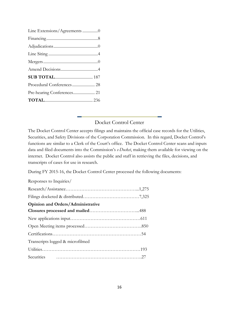| Line Extensions/Agreements 0 |  |
|------------------------------|--|
|                              |  |
|                              |  |
|                              |  |
|                              |  |
|                              |  |
|                              |  |
| Procedural Conferences 28    |  |
|                              |  |
|                              |  |

## Docket Control Center

The Docket Control Center accepts filings and maintains the official case records for the Utilities, Securities, and Safety Divisions of the Corporation Commission. In this regard, Docket Control's functions are similar to a Clerk of the Court's office. The Docket Control Center scans and inputs data and filed documents into the Commission's *e-Docket*, making them available for viewing on the internet. Docket Control also assists the public and staff in retrieving the files, decisions, and transcripts of cases for use in research.

During FY 2015-16, the Docket Control Center processed the following documents:

#### Responses to Inquiries/

| <b>Opinion and Orders/Administrative</b> |  |
|------------------------------------------|--|
|                                          |  |
|                                          |  |
|                                          |  |
|                                          |  |
| Transcripts logged & microfilmed         |  |
|                                          |  |
| Securities                               |  |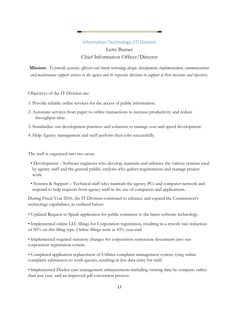## Information Technology (IT) Division Letty Butner Chief Information Officer/Director

<span id="page-21-0"></span>**Mission:** *To provide accurate, efficient and timely technology design, development, implementation, communications and maintenance support services to the agency and its respective divisions in support of their missions and objectives.*

Objectives of the IT Division are:

- 1. Provide reliable online services for the access of public information.
- 2. Automate services from paper to online transactions to increase productivity and reduce throughput time.
- 3. Standardize our development practices and solutions to manage cost and speed development.
- 4. Help Agency management and staff perform their jobs successfully.

The staff is organized into two areas:

- Development Software engineers who develop, maintain and enhance the various systems used by agency staff and the general public; analysts who gather requirements and manage project work.
- Systems & Support Technical staff who maintain the agency PCs and computer network and respond to help requests from agency staff in the use of computers and applications.

During Fiscal Year 2016, the IT Division continued to enhance and expand the Commission's technology capabilities, as outlined below:

• Updated Request to Speak application for public comment to the latest software technology.

• Implemented online LLC filings for Corporation registration, resulting in a rework rate reduction of 50% on this filing type. Online filings were at 43% year-end.

• Implemented required statutory changes for corporation restructure documents into our corporation registration system.

• Completed application replacement of Utilities complaint management system, tying online complaint submission to work queues, resulting in less data entry for staff.

• Implemented Docket case management enhancements including viewing data by company rather than just case, and an improved pdf conversion process.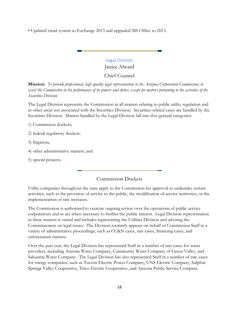• Updated email system to Exchange 2013 and upgraded MS Office to 2013.

# Legal Division Janice Alward

Chief Counsel

<span id="page-22-0"></span>**Mission:** *To provide professional, high quality legal representation to the Arizona Corporation Commission; to assist the Commission in the performance of its powers and duties, except for matters pertaining to the activities of the Securities Division.*

The Legal Division represents the Commission in all matters relating to public utility regulation and in other areas not associated with the Securities Division. Securities-related cases are handled by the Securities Division. Matters handled by the Legal Division fall into five general categories:

1) Commission dockets;

2) federal regulatory dockets;

3) litigation;

4) other administrative matters; and

5) special projects.

#### Commission Dockets

Utility companies throughout the state apply to the Commission for approval to undertake certain activities, such as the provision of service to the public, the modification of service territories, or the implementation of rate increases.

The Commission is authorized to exercise ongoing review over the operations of public service corporations and to act when necessary to further the public interest. Legal Division representation in these matters is varied and includes representing the Utilities Division and advising the Commissioners on legal issues. The Division routinely appears on behalf of Commission Staff in a variety of administrative proceedings, such as CC&N cases, rate cases, financing cases, and enforcement matters.

Over the past year, the Legal Division has represented Staff in a number of rate cases for water providers, including Arizona Water Company, Community Water Company of Green Valley, and Sahuarita Water Company. The Legal Division has also represented Staff in a number of rate cases for energy companies, such as Tucson Electric Power Company, UNS Electric Company, Sulphur Springs Valley Cooperative, Trico Electric Cooperative, and Arizona Public Service Company.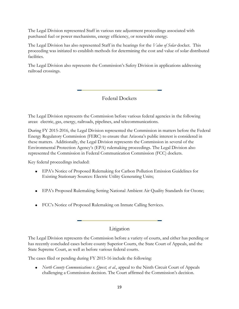The Legal Division represented Staff in various rate adjustment proceedings associated with purchased fuel or power mechanisms, energy efficiency, or renewable energy.

The Legal Division has also represented Staff in the hearings for the *Value of Solar* docket. This proceeding was initiated to establish methods for determining the cost and value of solar distributed facilities.

The Legal Division also represents the Commission's Safety Division in applications addressing railroad crossings.

Federal Dockets

The Legal Division represents the Commission before various federal agencies in the following areas: electric, gas, energy, railroads, pipelines, and telecommunications.

During FY 2015-2016, the Legal Division represented the Commission in matters before the Federal Energy Regulatory Commission (FERC) to ensure that Arizona's public interest is considered in these matters. Additionally, the Legal Division represents the Commission in several of the Environmental Protection Agency's (EPA) rulemaking proceedings. The Legal Division also represented the Commission in Federal Communication Commission (FCC) dockets.

Key federal proceedings included:

- EPA's Notice of Proposed Rulemaking for Carbon Pollution Emission Guidelines for Existing Stationary Sources: Electric Utility Generating Units;
- EPA's Proposed Rulemaking Setting National Ambient Air Quality Standards for Ozone;
- FCC's Notice of Proposed Rulemaking on Inmate Calling Services.

## Litigation

The Legal Division represents the Commission before a variety of courts, and either has pending or has recently concluded cases before county Superior Courts, the State Court of Appeals, and the State Supreme Court, as well as before various federal courts.

The cases filed or pending during FY 2015-16 include the following:

 *North County Communications v. Qwest, et al.*, appeal to the Ninth Circuit Court of Appeals challenging a Commission decision. The Court affirmed the Commission's decision.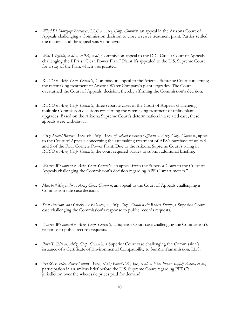- *Wind P1 Mortgage Borrower, LLC v. Ariz. Corp. Comm'n,* an appeal in the Arizona Court of Appeals challenging a Commission decision to close a sewer treatment plant*.* Parties settled the matters, and the appeal was withdrawn.
- *West Virginia, et al. v. EPA, et al.*, Commission appeal to the D.C. Circuit Court of Appeals challenging the EPA's "Clean Power Plan." Plaintiffs appealed to the U.S. Supreme Court for a stay of the Plan, which was granted.
- *RUCO v. Ariz. Corp. Comm'n*, Commission appeal to the Arizona Supreme Court concerning the ratemaking treatment of Arizona Water Company's plant upgrades. The Court overturned the Court of Appeals' decision, thereby affirming the Commission's decision.
- *RUCO v. Ariz. Corp. Comm'n*, three separate cases in the Court of Appeals challenging multiple Commission decisions concerning the ratemaking treatment of utility plant upgrades. Based on the Arizona Supreme Court's determination in a related case, these appeals were withdrawn.
- *Ariz. School Boards Assoc. & Ariz. Assoc. of School Business Officials v. Ariz. Corp. Comm'n*., appeal to the Court of Appeals concerning the ratemaking treatment of APS's purchase of units 4 and 5 of the Four Corners Power Plant. Due to the Arizona Supreme Court's ruling in *RUCO v. Ariz. Corp. Comm'n*, the court required parties to submit additional briefing.
- *Warren Woodward v. Ariz. Corp. Comm'n*, an appeal from the Superior Court to the Court of Appeals challenging the Commission's decision regarding APS's "smart meters."
- *Marshall Magruder v. Ariz. Corp. Comm'n*, an appeal to the Court of Appeals challenging a Commission rate case decision.
- *Scott Peterson, dba Checks & Balances, v. Ariz. Corp. Comm'n & Robert Stump*, a Superior Court case challenging the Commission's response to public records requests.
- *Warren Woodward v. Ariz. Corp. Comm'n,* a Superior Court case challenging the Commission's response to public records requests.
- *Peter T. Else vs. Ariz. Corp. Comm'n*, a Superior Court case challenging the Commission's issuance of a Certificate of Environmental Compatibility to SunZia Transmission, LLC.
- *FERC v. Elec. Power Supply Assoc., et al.; EnerNOC, Inc., et al. v. Elec. Power Supply Assoc., et al.*, participation in an amicus brief before the U.S. Supreme Court regarding FERC's jurisdiction over the wholesale prices paid for demand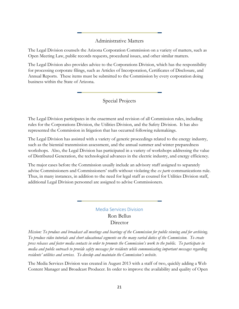## Administrative Matters

The Legal Division counsels the Arizona Corporation Commission on a variety of matters, such as Open Meeting Law, public records requests, procedural issues, and other similar matters.

The Legal Division also provides advice to the Corporations Division, which has the responsibility for processing corporate filings, such as Articles of Incorporation, Certificates of Disclosure, and Annual Reports. These items must be submitted to the Commission by every corporation doing business within the State of Arizona.

## Special Projects

The Legal Division participates in the enactment and revision of all Commission rules, including rules for the Corporations Division, the Utilities Division, and the Safety Division. It has also represented the Commission in litigation that has occurred following rulemakings.

The Legal Division has assisted with a variety of generic proceedings related to the energy industry, such as the biennial transmission assessment, and the annual summer and winter preparedness workshops. Also, the Legal Division has participated in a variety of workshops addressing the value of Distributed Generation, the technological advances in the electric industry, and energy efficiency.

The major cases before the Commission usually include an advisory staff assigned to separately advise Commissioners and Commissioners' staffs without violating the *ex parte* communications rule. Thus, in many instances, in addition to the need for legal staff as counsel for Utilities Division staff, additional Legal Division personnel are assigned to advise Commissioners.

## Media Services Division Ron Bellus Director

<span id="page-25-0"></span>*Mission: To produce and broadcast all meetings and hearings of the Commission for public viewing and for archiving. To produce video tutorials and short educational segments on the many varied duties of the Commission. To create press releases and foster media contacts in order to promote the Commission's work to the public. To participate in media and public outreach to provide safety messages for residents while communicating important messages regarding residents' utilities and services. To develop and maintain the Commission's website.*

The Media Services Division was created in August 2013 with a staff of two, quickly adding a Web Content Manager and Broadcast Producer. In order to improve the availability and quality of Open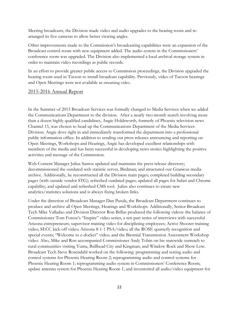Meeting broadcasts, the Division made video and audio upgrades to the hearing room and rearranged its five cameras to allow better viewing angles.

Other improvements made to the Commission's broadcasting capabilities were an expansion of the Broadcast control room with new equipment added. The audio system in the Commissioners' conference room was upgraded. The Division also implemented a local archival storage system in order to maintain video recordings as public records.

In an effort to provide greater public access to Commission proceedings, the Division upgraded the hearing room used in Tucson to install broadcast capability. Previously, video of Tucson hearings and Open Meetings were not available as streaming video.

## 2015-2016 Annual Report

In the Summer of 2015 Broadcast Services was formally changed to Media Services when we added the Communications Department to the division. After a nearly two-month search involving more than a dozen highly qualified candidates, Angie Holdsworth, formerly of Phoenix television news Channel 15, was chosen to head up the Communications Department of the Media Services Division. Angie dove right in and immediately transformed the department into a professional public information office. In addition to sending out press releases announcing and reporting on Open Meetings, Workshops and Hearings, Angie has developed excellent relationships with members of the media and has been successful in developing news stories highlighting the positive activities and message of the Commission.

Web Content Manager Julius Santos updated and maintains the press release directory; decommissioned the outdated web statistic server, Birdman; and structured our Granicus media archive. Additionally, he reconstructed all the Division main pages; completed building secondary pages (with outside vendor STG); refreshed outdated pages; updated all pages for Safari and Chrome capability; and updated and refreshed CMS tool. Julius also continues to create new analytics/statistics solutions and is always fixing broken links.

Under the direction of Broadcast Manager Dan Pasula, the Broadcast Department continues to produce and archive all Open Meetings, Hearings and Workshops. Additionally, Senior Broadcast Tech Mike Valladao and Division Director Ron Bellus produced the following videos: the balance of Commissioner Tom Forese's "Inspire" video series, a ten-part series of interviews with successful Arizona entrepreneurs; supervisor training video for disciplining employees; Active Shooter training video; SECC kick-off video; Arizona 8-1-1 PSA/video; all the ROSE quarterly recognition and special events; "Welcome to e-docket" video; and the Biennial Transmission Assessment Workshop video. Also, Mike and Ron accompanied Commissioner Andy Tobin on his statewide outreach to rural communities visiting Yuma, Bullhead City and Kingman, and Window Rock and Show Low. Broadcast Tech Steve Rosendahl worked on the following: programming and testing audio and control systems for Phoenix Hearing Room 2; reprogramming audio and control systems for Phoenix Hearing Room 1; reprogramming audio system in Commissioners' Conference Room; update antenna system for Phoenix Hearing Room 1; and inventoried all audio/video equipment for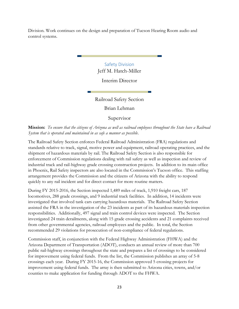<span id="page-27-0"></span>Division. Work continues on the design and preparation of Tucson Hearing Room audio and control systems.

> Safety Division Jeff M. Hatch-Miller

> > Interim Director

Railroad Safety Section

Brian Lehman

Supervisor

**Mission:** *To ensure that the citizens of Arizona as well as railroad employees throughout the State have a Railroad System that is operated and maintained in as safe a manner as possible*.

The Railroad Safety Section enforces Federal Railroad Administration (FRA) regulations and standards relative to track, signal, motive power and equipment, railroad operating practices, and the shipment of hazardous materials by rail. The Railroad Safety Section is also responsible for enforcement of Commission regulations dealing with rail safety as well as inspection and review of industrial track and rail-highway grade crossing construction projects. In addition to its main office in Phoenix, Rail Safety inspectors are also located in the Commission's Tucson office. This staffing arrangement provides the Commission and the citizens of Arizona with the ability to respond quickly to any rail incident and for direct contact for more routine matters.

During FY 2015-2016, the Section inspected 1,489 miles of track, 1,910 freight cars, 187 locomotives, 288 grade crossings, and 9 industrial track facilities. In addition, 14 incidents were investigated that involved tank cars carrying hazardous materials. The Railroad Safety Section assisted the FRA in the investigation of the 23 incidents as part of its hazardous materials inspection responsibilities. Additionally, 497 signal and train control devices were inspected. The Section investigated 24 train derailments, along with 15 grade crossing accidents and 21 complaints received from other governmental agencies, railroad employees and the public. In total, the Section recommended 29 violations for prosecution of non-compliance of federal regulations.

Commission staff, in conjunction with the Federal Highway Administration (FHWA) and the Arizona Department of Transportation (ADOT), conducts an annual review of more than 700 public rail-highway crossings throughout the state and prepares a list of crossings to be considered for improvement using federal funds. From the list, the Commission publishes an array of 5-8 crossings each year. During FY 2015-16, the Commission approved 5 crossing projects for improvement using federal funds. The array is then submitted to Arizona cities, towns, and/or counties to make application for funding through ADOT to the FHWA.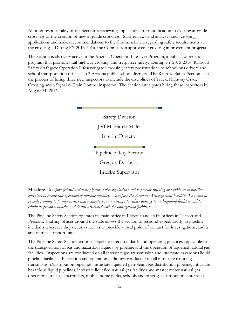Another responsibility of the Section is reviewing applications for modification to existing at-grade crossings or the creation of new at-grade crossings. Staff reviews and analyzes such crossing applications and makes recommendations to the Commissioners regarding safety requirements at the crossings. During FY 2015-2016, the Commission approved 9 crossing improvement projects.

The Section is also very active in the Arizona Operation Lifesaver Program, a public awareness program that promotes rail-highway crossing and trespasser safety. During FY 2015-2016, Railroad Safety Staff gave Operation Lifesaver grade crossing safety presentations to school bus drivers and school transportation officials in 3 Arizona public school districts. The Railroad Safety Section is in the process of hiring three new inspectors to include the disciplines of Track, Highway Grade Crossing and a Signal & Train Control inspector. The Section anticipates hiring these inspectors by August 31, 2016.

> Safety Division Jeff M. Hatch-Miller Interim Director Pipeline Safety Section

Gregory D. Taylor

Interim Supervisor

**Mission:** *To enforce federal and state pipeline safety regulations and to provide training and guidance to pipeline operators to ensure safe operation of pipeline facilities. To enforce the Arizonan Underground Facilities Law and to provide training to facility owners and excavators in an attempt to reduce damage to underground facilities and to eliminate personal injuries and deaths associated with the underground facilities.*

The Pipeline Safety Section operates its main office in Phoenix and staffs offices in Tucson and Prescott. Staffing offices around the state allows the section to respond expeditiously to pipeline incidents wherever they occur as well as to provide a local point of contact for investigations, audits and outreach opportunities.

The Pipeline Safety Section enforces pipeline safety standards and operating practices applicable to the transportation of gas and hazardous liquids by pipeline and the operation of liquefied natural gas facilities. Inspections are conducted on all interstate gas transmission and interstate hazardous liquid pipeline facilities. Inspection and operation audits are conducted on all intrastate natural gas transmission/distribution pipelines, intrastate liquefied petroleum gas distribution pipeline, intrastate hazardous liquid pipelines, intrastate liquefied natural gas facilities and master meter natural gas operations, such as apartments, mobile home parks, schools and other gas distribution systems at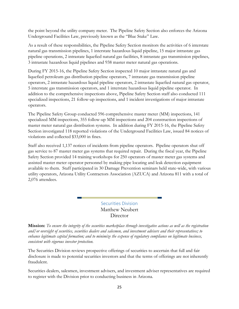the point beyond the utility company meter. The Pipeline Safety Section also enforces the Arizona Underground Facilities Law, previously known as the "Blue Stake" Law.

As a result of these responsibilities, the Pipeline Safety Section monitors the activities of 6 interstate natural gas transmission pipelines, 1 interstate hazardous liquid pipeline, 15 major intrastate gas pipeline operations, 2 intrastate liquefied natural gas facilities, 8 intrastate gas transmission pipelines, 3 intrastate hazardous liquid pipelines and 938 master meter natural gas operations.

During FY 2015-16, the Pipeline Safety Section inspected 10 major intrastate natural gas and liquefied petroleum gas distribution pipeline operators, 7 intrastate gas transmission pipeline operators, 2 intrastate hazardous liquid pipeline operators, 2 intrastate liquefied natural gas operator, 5 interstate gas transmission operators, and 1 interstate hazardous liquid pipeline operator. In addition to the comprehensive inspections above, Pipeline Safety Section staff also conducted 111 specialized inspections, 21 follow-up inspections, and 1 incident investigations of major intrastate operators.

The Pipeline Safety Group conducted 596 comprehensive master meter (MM) inspections, 141 specialized MM inspections, 355 follow-up MM inspections and 204 construction inspections of master meter natural gas distribution systems. In addition during FY 2015-16, the Pipeline Safety Section investigated 118 reported violations of the Underground Facilities Law, issued 84 notices of violations and collected \$33,000 in fines.

Staff also received 1,137 notices of incidents from pipeline operators. Pipeline operators shut off gas service to 87 master meter gas systems that required repair. During the fiscal year, the Pipeline Safety Section provided 14 training workshops for 250 operators of master meter gas systems and assisted master meter operator personnel by making pipe locating and leak detection equipment available to them. Staff participated in 30 Damage Prevention seminars held state-wide, with various utility operators, Arizona Utility Contractors Association (AZUCA) and Arizona 811 with a total of 2,076 attendees.

> Securities Division Matthew Neubert **Director**

<span id="page-29-0"></span>**Mission:** *To ensure the integrity of the securities marketplace through investigative actions as well as the registration and/or oversight of securities, securities dealers and salesmen, and investment advisers and their representatives; to enhance legitimate capital formation; and to minimize the expense of regulatory compliance on legitimate business, consistent with vigorous investor protection.*

The Securities Division reviews prospective offerings of securities to ascertain that full and fair disclosure is made to potential securities investors and that the terms of offerings are not inherently fraudulent.

Securities dealers, salesmen, investment advisers, and investment adviser representatives are required to register with the Division prior to conducting business in Arizona.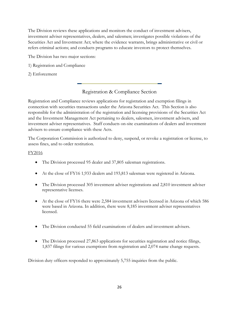The Division reviews these applications and monitors the conduct of investment advisers, investment adviser representatives, dealers, and salesmen; investigates possible violations of the Securities Act and Investment Act; where the evidence warrants, brings administrative or civil or refers criminal actions; and conducts programs to educate investors to protect themselves.

The Division has two major sections:

- 1) Registration and Compliance
- 2) Enforcement

## Registration & Compliance Section

Registration and Compliance reviews applications for registration and exemption filings in connection with securities transactions under the Arizona Securities Act. This Section is also responsible for the administration of the registration and licensing provisions of the Securities Act and the Investment Management Act pertaining to dealers, salesmen, investment advisers, and investment adviser representatives. Staff conducts on-site examinations of dealers and investment advisers to ensure compliance with these Acts.

The Corporation Commission is authorized to deny, suspend, or revoke a registration or license, to assess fines, and to order restitution.

#### FY2016

- The Division processed 95 dealer and 37,805 salesman registrations.
- At the close of FY16 1,933 dealers and 193,813 salesman were registered in Arizona.
- The Division processed 305 investment adviser registrations and 2,810 investment adviser representative licenses.
- At the close of FY16 there were 2,584 investment advisers licensed in Arizona of which 586 were based in Arizona. In addition, there were 8,185 investment adviser representatives licensed.
- The Division conducted 55 field examinations of dealers and investment advisers.
- The Division processed 27,863 applications for securities registration and notice filings, 1,837 filings for various exemptions from registration and 2,074 name change requests.

Division duty officers responded to approximately 5,755 inquiries from the public.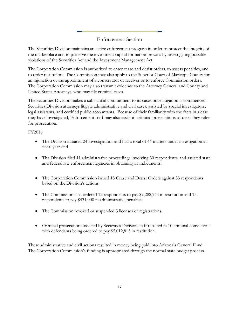## Enforcement Section

The Securities Division maintains an active enforcement program in order to protect the integrity of the marketplace and to preserve the investment capital formation process by investigating possible violations of the Securities Act and the Investment Management Act.

The Corporation Commission is authorized to enter cease and desist orders, to assess penalties, and to order restitution. The Commission may also apply to the Superior Court of Maricopa County for an injunction or the appointment of a conservator or receiver or to enforce Commission orders. The Corporation Commission may also transmit evidence to the Attorney General and County and United States Attorneys, who may file criminal cases.

The Securities Division makes a substantial commitment to its cases once litigation is commenced. Securities Division attorneys litigate administrative and civil cases, assisted by special investigators, legal assistants, and certified public accountants. Because of their familiarity with the facts in a case they have investigated, Enforcement staff may also assist in criminal prosecutions of cases they refer for prosecution.

#### FY2016

- The Division initiated 24 investigations and had a total of 44 matters under investigation at fiscal year-end.
- The Division filed 11 administrative proceedings involving 30 respondents, and assisted state and federal law enforcement agencies in obtaining 11 indictments.
- The Corporation Commission issued 15 Cease and Desist Orders against 33 respondents based on the Division's actions.
- The Commission also ordered 12 respondents to pay \$9,282,744 in restitution and 15 respondents to pay \$431,000 in administrative penalties.
- The Commission revoked or suspended 3 licenses or registrations.
- Criminal prosecutions assisted by Securities Division staff resulted in 10 criminal convictions with defendants being ordered to pay \$5,012,815 in restitution.

These administrative and civil actions resulted in money being paid into Arizona's General Fund. The Corporation Commission's funding is appropriated through the normal state budget process.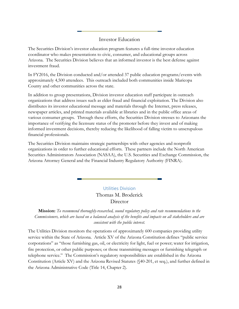### Investor Education

The Securities Division's investor education program features a full-time investor education coordinator who makes presentations to civic, consumer, and educational groups across Arizona. The Securities Division believes that an informed investor is the best defense against investment fraud.

In FY2016, the Division conducted and/or attended 37 public education programs/events with approximately 4,500 attendees. This outreach included both communities inside Maricopa County and other communities across the state.

In addition to group presentations, Division investor education staff participate in outreach organizations that address issues such as elder fraud and financial exploitation. The Division also distributes its investor educational message and materials through the Internet, press releases, newspaper articles, and printed materials available at libraries and in the public office areas of various consumer groups. Through these efforts, the Securities Division stresses to Arizonans the importance of verifying the licensure status of the promoter before they invest and of making informed investment decisions, thereby reducing the likelihood of falling victim to unscrupulous financial professionals.

The Securities Division maintains strategic partnerships with other agencies and nonprofit organizations in order to further educational efforts. These partners include the North American Securities Administrators Association (NASAA), the U.S. Securities and Exchange Commission, the Arizona Attorney General and the Financial Industry Regulatory Authority (FINRA).

> Utilities Division Thomas M. Broderick Director

<span id="page-32-0"></span>**Mission:** *To recommend thoroughly-researched, sound regulatory policy and rate recommendations to the Commissioners, which are based on a balanced analysis of the benefits and impacts on all stakeholders and are consistent with the public interest.*

The Utilities Division monitors the operations of approximately 600 companies providing utility service within the State of Arizona. Article XV of the Arizona Constitution defines "public service corporations" as "those furnishing gas, oil, or electricity for light, fuel or power; water for irrigation, fire protection, or other public purposes; or those transmitting messages or furnishing telegraph or telephone service." The Commission's regulatory responsibilities are established in the Arizona Constitution (Article XV) and the Arizona Revised Statutes (§40-201, et seq.), and further defined in the Arizona Administrative Code (Title 14, Chapter 2).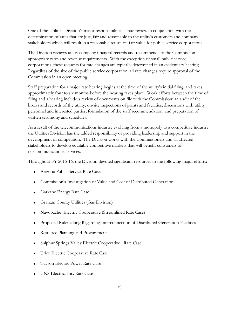One of the Utilities Division's major responsibilities is rate review in conjunction with the determination of rates that are just, fair and reasonable to the utility's customers and company stakeholders which will result in a reasonable return on fair value for public service corporations.

The Division reviews utility company financial records and recommends to the Commission appropriate rates and revenue requirements. With the exception of small public service corporations, these requests for rate changes are typically determined in an evidentiary hearing. Regardless of the size of the public service corporation, all rate changes require approval of the Commission in an open meeting.

Staff preparation for a major rate hearing begins at the time of the utility's initial filing, and takes approximately four to six months before the hearing takes place. Work efforts between the time of filing and a hearing include a review of documents on file with the Commission; an audit of the books and records of the utility; on-site inspections of plants and facilities; discussions with utility personnel and interested parties; formulation of the staff recommendation; and preparation of written testimony and schedules.

As a result of the telecommunications industry evolving from a monopoly to a competitive industry, the Utilities Division has the added responsibility of providing leadership and support in the development of competition. The Division works with the Commissioners and all affected stakeholders to develop equitable competitive markets that will benefit consumers of telecommunications services.

Throughout FY 2015-16, the Division devoted significant resources to the following major efforts:

- Arizona Public Service Rate Case
- Commission's Investigation of Value and Cost of Distributed Generation
- **Garkane Energy Rate Case**
- Graham County Utilities (Gas Division)
- Navopache Electric Cooperative (Streamlined Rate Case)
- Proposed Rulemaking Regarding Interconnection of Distributed Generation Facilities
- Resource Planning and Procurement
- Sulphur Springs Valley Electric Cooperative Rate Case
- Trico Electric Cooperative Rate Case
- Tucson Electric Power Rate Case
- UNS Electric, Inc. Rate Case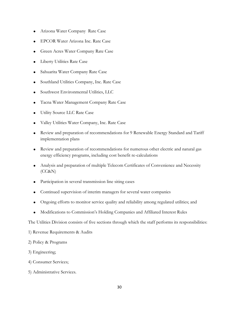- Arizona Water Company Rate Case
- EPCOR Water Arizona Inc. Rate Case
- Green Acres Water Company Rate Case
- Liberty Utilities Rate Case
- Sahuarita Water Company Rate Case
- Southland Utilities Company, Inc. Rate Case
- Southwest Environmental Utilities, LLC
- Tacna Water Management Company Rate Case
- Utility Source LLC Rate Case
- Valley Utilities Water Company, Inc. Rate Case
- Review and preparation of recommendations for 9 Renewable Energy Standard and Tariff implementation plans
- Review and preparation of recommendations for numerous other electric and natural gas energy efficiency programs, including cost benefit re-calculations
- Analysis and preparation of multiple Telecom Certificates of Convenience and Necessity (CC&N)
- Participation in several transmission line siting cases
- Continued supervision of interim managers for several water companies
- Ongoing efforts to monitor service quality and reliability among regulated utilities; and
- Modifications to Commission's Holding Companies and Affiliated Interest Rules

The Utilities Division consists of five sections through which the staff performs its responsibilities:

- 1) Revenue Requirements & Audits
- 2) Policy & Programs
- 3) Engineering;
- 4) Consumer Services;
- 5) Administrative Services.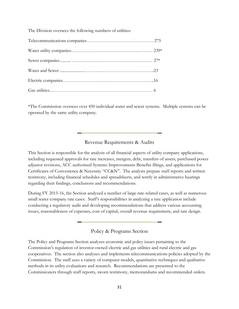The Division oversees the following numbers of utilities:

\*The Commission oversees over 450 individual water and sewer systems. Multiple systems can be operated by the same utility company.

#### Revenue Requirements & Audits

This Section is responsible for the analysis of all financial aspects of utility company applications, including requested approvals for rate increases, mergers, debt, transfers of assets, purchased power adjustor revisions, ACC authorized Systems Improvements Benefits filings, and applications for Certificates of Convenience & Necessity "CC&N". The analysts prepare staff reports and written testimony, including financial schedules and spreadsheets, and testify in administrative hearings regarding their findings, conclusions and recommendations.

During FY 2015-16, the Section analyzed a number of large rate-related cases, as well as numerous small water company rate cases. Staff's responsibilities in analyzing a rate application include conducting a regulatory audit and developing recommendations that address various accounting issues, reasonableness of expenses, cost of capital, overall revenue requirement, and rate design.

Policy & Programs Section

The Policy and Programs Section analyzes economic and policy issues pertaining to the Commission's regulation of investor-owned electric and gas utilities and rural electric and gas cooperatives. The section also analyzes and implements telecommunications policies adopted by the Commission. The staff uses a variety of computer models, quantitative techniques and qualitative methods in its utility evaluations and research. Recommendations are presented to the Commissioners through staff reports, sworn testimony, memorandums and recommended orders.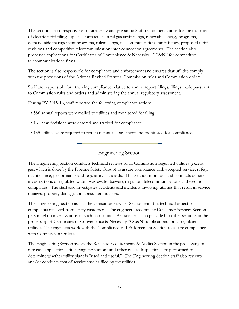The section is also responsible for analyzing and preparing Staff recommendations for the majority of electric tariff filings, special contracts, natural gas tariff filings, renewable energy programs, demand-side management programs, rulemakings, telecommunications tariff filings, proposed tariff revisions and competitive telecommunication inter-connection agreements. The section also processes applications for Certificates of Convenience & Necessity "CC&N" for competitive telecommunications firms.

The section is also responsible for compliance and enforcement and ensures that utilities comply with the provisions of the Arizona Revised Statutes, Commission rules and Commission orders.

Staff are responsible for: tracking compliance relative to annual report filings, filings made pursuant to Commission rules and orders and administering the annual regulatory assessment.

During FY 2015-16, staff reported the following compliance actions:

- 586 annual reports were mailed to utilities and monitored for filing.
- 161 new decisions were entered and tracked for compliance.
- 135 utilities were required to remit an annual assessment and monitored for compliance.

## Engineering Section

The Engineering Section conducts technical reviews of all Commission-regulated utilities (except gas, which is done by the Pipeline Safety Group) to assure compliance with accepted service, safety, maintenance, performance and regulatory standards. This Section monitors and conducts on-site investigations of regulated water, wastewater (sewer), irrigation, telecommunications and electric companies. The staff also investigates accidents and incidents involving utilities that result in service outages, property damage and consumer inquiries.

The Engineering Section assists the Consumer Services Section with the technical aspects of complaints received from utility customers. The engineers accompany Consumer Services Section personnel on investigations of such complaints. Assistance is also provided to other sections in the processing of Certificates of Convenience & Necessity "CC&N" applications for all regulated utilities. The engineers work with the Compliance and Enforcement Section to assure compliance with Commission Orders.

The Engineering Section assists the Revenue Requirements & Audits Section in the processing of rate case applications, financing applications and other cases. Inspections are performed to determine whether utility plant is "used and useful." The Engineering Section staff also reviews and/or conducts cost of service studies filed by the utilities.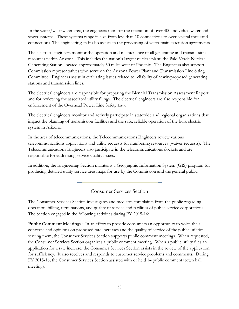In the water/wastewater area, the engineers monitor the operation of over 400 individual water and sewer systems. These systems range in size from less than 10 connections to over several thousand connections. The engineering staff also assists in the processing of water main extension agreements.

The electrical engineers monitor the operation and maintenance of all generating and transmission resources within Arizona. This includes the nation's largest nuclear plant, the Palo Verde Nuclear Generating Station, located approximately 50 miles west of Phoenix. The Engineers also support Commission representatives who serve on the Arizona Power Plant and Transmission Line Siting Committee. Engineers assist in evaluating issues related to reliability of newly-proposed generating stations and transmission lines.

The electrical engineers are responsible for preparing the Biennial Transmission Assessment Report and for reviewing the associated utility filings. The electrical engineers are also responsible for enforcement of the Overhead Power Line Safety Law.

The electrical engineers monitor and actively participate in statewide and regional organizations that impact the planning of transmission facilities and the safe, reliable operation of the bulk electric system in Arizona.

In the area of telecommunications, the Telecommunications Engineers review various telecommunications applications and utility requests for numbering resources (waiver requests). The Telecommunications Engineers also participate in the telecommunications dockets and are responsible for addressing service quality issues.

In addition, the Engineering Section maintains a Geographic Information System (GIS) program for producing detailed utility service area maps for use by the Commission and the general public.

Consumer Services Section

The Consumer Services Section investigates and mediates complaints from the public regarding operation, billing, terminations, and quality of service and facilities of public service corporations. The Section engaged in the following activities during FY 2015-16:

**Public Comment Meetings:** In an effort to provide consumers an opportunity to voice their concerns and opinions on proposed rate increases and the quality of service of the public utilities serving them, the Consumer Services Section supports public comment meetings. When requested, the Consumer Services Section organizes a public comment meeting. When a public utility files an application for a rate increase, the Consumer Services Section assists in the review of the application for sufficiency. It also receives and responds to customer service problems and comments. During FY 2015-16, the Consumer Services Section assisted with or held 14 public comment/town hall meetings.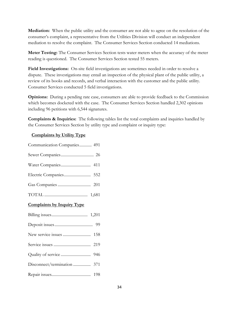**Mediation:** When the public utility and the consumer are not able to agree on the resolution of the consumer's complaint, a representative from the Utilities Division will conduct an independent mediation to resolve the complaint. The Consumer Services Section conducted 14 mediations.

**Meter Testing:** The Consumer Services Section tests water meters when the accuracy of the meter reading is questioned. The Consumer Services Section tested 55 meters.

**Field Investigations:** On-site field investigations are sometimes needed in order to resolve a dispute. These investigations may entail an inspection of the physical plant of the public utility, a review of its books and records, and verbal interaction with the customer and the public utility. Consumer Services conducted 5 field investigations.

**Opinions:** During a pending rate case, consumers are able to provide feedback to the Commission which becomes docketed with the case. The Consumer Services Section handled 2,302 opinions including 96 petitions with 6,544 signatures.

**Complaints & Inquiries:** The following tables list the total complaints and inquiries handled by the Consumer Services Section by utility type and complaint or inquiry type:

## **Complaints by Utility Type**

| Communication Companies 491       |
|-----------------------------------|
|                                   |
|                                   |
|                                   |
|                                   |
|                                   |
| <b>Complaints by Inquiry Type</b> |
|                                   |
|                                   |
|                                   |
|                                   |
|                                   |
|                                   |
|                                   |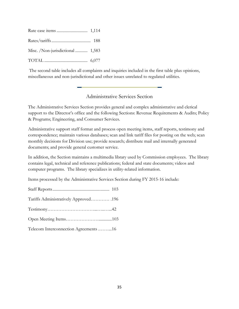| Misc. /Non-jurisdictional  1,583 |  |
|----------------------------------|--|
|                                  |  |

The second table includes all complaints and inquiries included in the first table plus opinions, miscellaneous and non-jurisdictional and other issues unrelated to regulated utilities.

## Administrative Services Section

The Administrative Services Section provides general and complex administrative and clerical support to the Director's office and the following Sections: Revenue Requirements & Audits; Policy & Programs; Engineering, and Consumer Services.

Administrative support staff format and process open meeting items, staff reports, testimony and correspondence; maintain various databases; scan and link tariff files for posting on the web; scan monthly decisions for Division use; provide research; distribute mail and internally generated documents; and provide general customer service.

In addition, the Section maintains a multimedia library used by Commission employees. The library contains legal, technical and reference publications; federal and state documents; videos and computer programs. The library specializes in utility-related information.

Items processed by the Administrative Services Section during FY 2015-16 include:

| Tariffs Administratively Approved 196 |  |
|---------------------------------------|--|
|                                       |  |
|                                       |  |
| Telecom Interconnection Agreements 16 |  |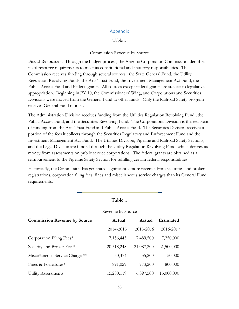#### Appendix

#### Table 1

#### Commission Revenue by Source

<span id="page-40-0"></span>**Fiscal Resources:** Through the budget process, the Arizona Corporation Commission identifies fiscal resource requirements to meet its constitutional and statutory responsibilities. The Commission receives funding through several sources: the State General Fund, the Utility Regulation Revolving Funds, the Arts Trust Fund, the Investment Management Act Fund, the Public Access Fund and Federal grants. All sources except federal grants are subject to legislative appropriation. Beginning in FY 10, the Commissioners' Wing, and Corporations and Securities Divisions were moved from the General Fund to other funds. Only the Railroad Safety program receives General Fund monies.

The Administration Division receives funding from the Utilities Regulation Revolving Fund., the Public Access Fund, and the Securities Revolving Fund. The Corporations Division is the recipient of funding from the Arts Trust Fund and Public Access Fund. The Securities Division receives a portion of the fees it collects through the Securities Regulatory and Enforcement Fund and the Investment Management Act Fund. The Utilities Division, Pipeline and Railroad Safety Sections, and the Legal Division are funded through the Utility Regulation Revolving Fund, which derives its money from assessments on public service corporations. The federal grants are obtained as a reimbursement to the Pipeline Safety Section for fulfilling certain federal responsibilities.

Historically, the Commission has generated significantly more revenue from securities and broker registrations, corporation filing fees, fines and miscellaneous service charges than its General Fund requirements.

|                                     | 1 able 1   |            |            |  |
|-------------------------------------|------------|------------|------------|--|
| Revenue by Source                   |            |            |            |  |
| <b>Commission Revenue by Source</b> | Actual     | Actual     | Estimated  |  |
|                                     | 2014-2015  | 2015-2016  | 2016-2017  |  |
| Corporation Filing Fees*            | 7,156,445  | 7,489,500  | 7,250,000  |  |
| Security and Broker Fees*           | 20,518,248 | 21,087,200 | 21,500,000 |  |
| Miscellaneous Service Charges**     | 50,374     | 35,200     | 50,000     |  |
| Fines & Forfeitures*                | 891,029    | 773,200    | 800,000    |  |
| <b>Utility Assessments</b>          | 15,280,119 | 6,397,500  | 13,000,000 |  |
|                                     |            |            |            |  |

## $T_1$  1 1  $\overline{1}$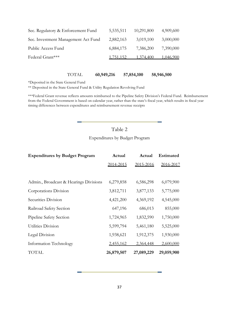| Sec. Regulatory & Enforcement Fund  | 5,535,511        | 10,291,800 | 4,909,600 |
|-------------------------------------|------------------|------------|-----------|
| Sec. Investment Management Act Fund | 2,882,163        | 3,019,100  | 3,000,000 |
| Public Access Fund                  | 6,884,175        | 7,386,200  | 7,390,000 |
| Federal Grant***                    | <u>1,751,152</u> | 1,374,400  | 1,046,900 |
|                                     |                  |            |           |

TOTAL **60,949,216 57,854,100 58,946,500**

\*Deposited in the State General Fund

\*\* Deposited in the State General Fund & Utility Regulation Revolving Fund

\*\*\*Federal Grant revenue reflects amounts reimbursed to the Pipeline Safety Division's Federal Fund. Reimbursement from the Federal Government is based on calendar year, rather than the state's fiscal year, which results in fiscal year timing differences between expenditures and reimbursement revenue receipts

## Table 2

Expenditures by Budget Program

| <b>Expenditures by Budget Program</b>  | Actual     | Actual     | <b>Estimated</b> |
|----------------------------------------|------------|------------|------------------|
|                                        | 2014-2015  | 2015-2016  | 2016-2017        |
|                                        |            |            |                  |
| Admin., Broadcast & Hearings Divisions | 6,279,858  | 6,586,298  | 6,079,900        |
| Corporations Division                  | 3,812,711  | 3,877,133  | 5,775,000        |
| Securities Division                    | 4,421,200  | 4,369,192  | 4,545,000        |
| Railroad Safety Section                | 647,196    | 686,013    | 855,000          |
| Pipeline Safety Section                | 1,724,965  | 1,832,590  | 1,750,000        |
| Utilities Division                     | 5,599,794  | 5,461,180  | 5,525,000        |
| Legal Division                         | 1,938,621  | 1,912,375  | 1,930,000        |
| Information Technology                 | 2,455,162  | 2,364,448  | 2,600,000        |
| TOTAL                                  | 26,879,507 | 27,089,229 | 29,059,900       |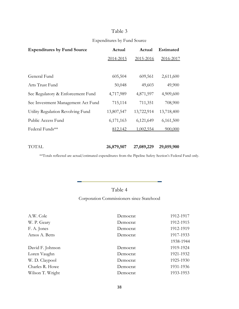## Table 3

## Expenditures by Fund Source

| <b>Expenditures by Fund Source</b> | Actual     | Actual     | <b>Estimated</b> |
|------------------------------------|------------|------------|------------------|
|                                    | 2014-2015  | 2015-2016  | 2016-2017        |
|                                    |            |            |                  |
| General Fund                       | 605,504    | 609,561    | 2,611,600        |
| Arts Trust Fund                    | 50,048     | 49,603     | 49,900           |
| Sec Regulatory & Enforcement Fund  | 4,717,989  | 4,871,597  | 4,909,600        |
| Sec Investment Management Act Fund | 715,114    | 711,351    | 708,900          |
| Utility Regulation Revolving Fund  | 13,807,547 | 13,722,914 | 13,718,400       |
| Public Access Fund                 | 6,171,163  | 6,121,649  | 6,161,500        |
| Federal Funds**                    | 812,142    | 1,002,554  | 900,000          |
|                                    |            |            |                  |
| TOTAL                              | 26,879,507 | 27,089,229 | 29,059,900       |

\*\*Totals reflected are actual/estimated expenditures from the Pipeline Safety Section's Federal Fund only.

## Table 4

Corporation Commissioners since Statehood

| A.W. Cole        | Democrat | 1912-1917 |
|------------------|----------|-----------|
| W. P. Geary      | Democrat | 1912-1915 |
| F. A. Jones      | Democrat | 1912-1919 |
| Amos A. Betts    | Democrat | 1917-1933 |
|                  |          | 1938-1944 |
| David F. Johnson | Democrat | 1919-1924 |
| Loren Vaughn     | Democrat | 1921-1932 |
| W. D. Claypool   | Democrat | 1925-1930 |
| Charles R. Howe  | Democrat | 1931-1936 |
| Wilson T. Wright | Democrat | 1933-1953 |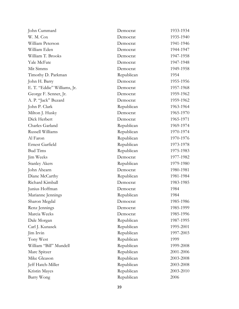| John Cummard                | Democrat   | 1933-1934 |
|-----------------------------|------------|-----------|
| W. M. Cox                   | Democrat   | 1935-1940 |
| William Peterson            | Democrat   | 1941-1946 |
| William Eden                | Democrat   | 1944-1947 |
| William T. Brooks           | Democrat   | 1947-1958 |
| Yale McFate                 | Democrat   | 1947-1948 |
| Mit Simms                   | Democrat   | 1949-1958 |
| Timothy D. Parkman          | Republican | 1954      |
| John H. Barry               | Democrat   | 1955-1956 |
| E. T. "Eddie" Williams, Jr. | Democrat   | 1957-1968 |
| George F. Senner, Jr.       | Democrat   | 1959-1962 |
| A. P. "Jack" Buzard         | Democrat   | 1959-1962 |
| John P. Clark               | Republican | 1963-1964 |
| Milton J. Husky             | Democrat   | 1965-1970 |
| Dick Herbert                | Democrat   | 1965-1971 |
| Charles Garland             | Republican | 1969-1974 |
| Russell Williams            | Republican | 1970-1974 |
| Al Faron                    | Republican | 1970-1976 |
| Ernest Garfield             | Republican | 1973-1978 |
| <b>Bud Tims</b>             | Republican | 1975-1983 |
| Jim Weeks                   | Democrat   | 1977-1982 |
| <b>Stanley Akers</b>        | Republican | 1979-1980 |
| John Ahearn                 | Democrat   | 1980-1981 |
| Diane McCarthy              | Republican | 1981-1984 |
| Richard Kimball             | Democrat   | 1983-1985 |
| Junius Hoffman              | Democrat   | 1984      |
| Marianne Jennings           | Republican | 1984      |
| Sharon Megdal               | Democrat   | 1985-1986 |
| Renz Jennings               | Democrat   | 1985-1999 |
| Marcia Weeks                | Democrat   | 1985-1996 |
| Dale Morgan                 | Republican | 1987-1995 |
| Carl J. Kunasek             | Republican | 1995-2001 |
| Jim Irvin                   | Republican | 1997-2003 |
| Tony West                   | Republican | 1999      |
| William "Bill" Mundell      | Republican | 1999-2008 |
| Marc Spitzer                | Republican | 2001-2006 |
| Mike Gleason                | Republican | 2003-2008 |
| Jeff Hatch-Miller           | Republican | 2003-2008 |
| Kristin Mayes               | Republican | 2003-2010 |
| Barry Wong                  | Republican | 2006      |
|                             |            |           |